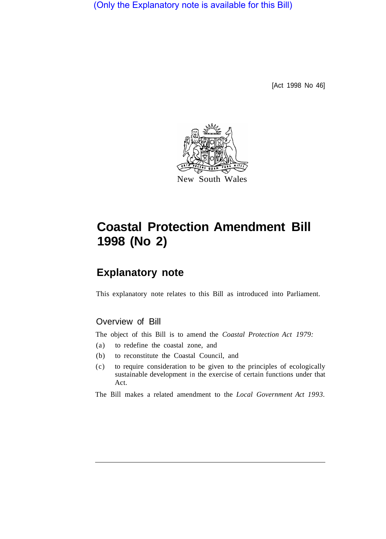(Only the Explanatory note is available for this Bill)

[Act 1998 No 46]



# **Coastal Protection Amendment Bill 1998 (No 2)**

# **Explanatory note**

This explanatory note relates to this Bill as introduced into Parliament.

# Overview of Bill

The object of this Bill is to amend the *Coastal Protection Act 1979:* 

- (a) to redefine the coastal zone, and
- (b) to reconstitute the Coastal Council, and
- (c) to require consideration to be given to the principles of ecologically sustainable development in the exercise of certain functions under that Act.

The Bill makes a related amendment to the *Local Government Act 1993.*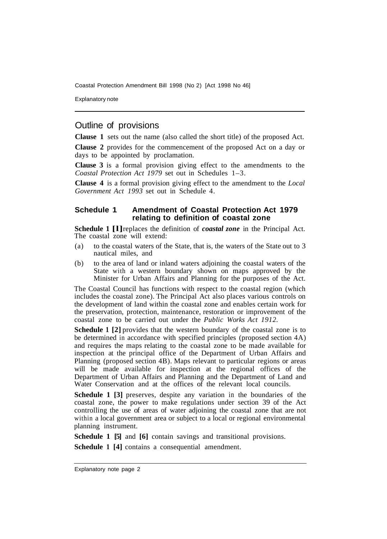Coastal Protection Amendment Bill 1998 (No 2) [Act 1998 No 46]

Explanatory note

# Outline of provisions

**Clause 1** sets out the name (also called the short title) of the proposed Act.

**Clause 2** provides for the commencement of the proposed Act on a day or days to be appointed by proclamation.

**Clause 3** is a formal provision giving effect to the amendments to the *Coastal Protection Act 1979* set out in Schedules 1–3.

**Clause 4** is a formal provision giving effect to the amendment to the *Local Government Act 1993* set out in Schedule 4.

#### **Schedule 1 Amendment of Coastal Protection Act 1979 relating to definition of coastal zone**

**Schedule 1 [l]** replaces the definition of *coastal zone* in the Principal Act. The coastal zone will extend:

- (a) to the coastal waters of the State, that is, the waters of the State out to 3 nautical miles, and
- (b) to the area of land or inland waters adjoining the coastal waters of the State with a western boundary shown on maps approved by the Minister for Urban Affairs and Planning for the purposes of the Act.

The Coastal Council has functions with respect to the coastal region (which includes the coastal zone). The Principal Act also places various controls on the development of land within the coastal zone and enables certain work for the preservation, protection, maintenance, restoration or improvement of the coastal zone to be carried out under the *Public Works Act 1912.* 

**Schedule 1 [2]** provides that the western boundary of the coastal zone is to be determined in accordance with specified principles (proposed section 4A) and requires the maps relating to the coastal zone to be made available for inspection at the principal office of the Department of Urban Affairs and Planning (proposed section 4B). Maps relevant to particular regions or areas will be made available for inspection at the regional offices of the Department of Urban Affairs and Planning and the Department of Land and Water Conservation and at the offices of the relevant local councils.

**Schedule 1 [3]** preserves, despite any variation in the boundaries of the coastal zone, the power to make regulations under section 39 of the Act controlling the use of areas of water adjoining the coastal zone that are not within a local government area or subject to a local or regional environmental planning instrument.

**Schedule 1 [5]** and **[6]** contain savings and transitional provisions.

**Schedule 1 [4]** contains a consequential amendment.

Explanatory note page 2